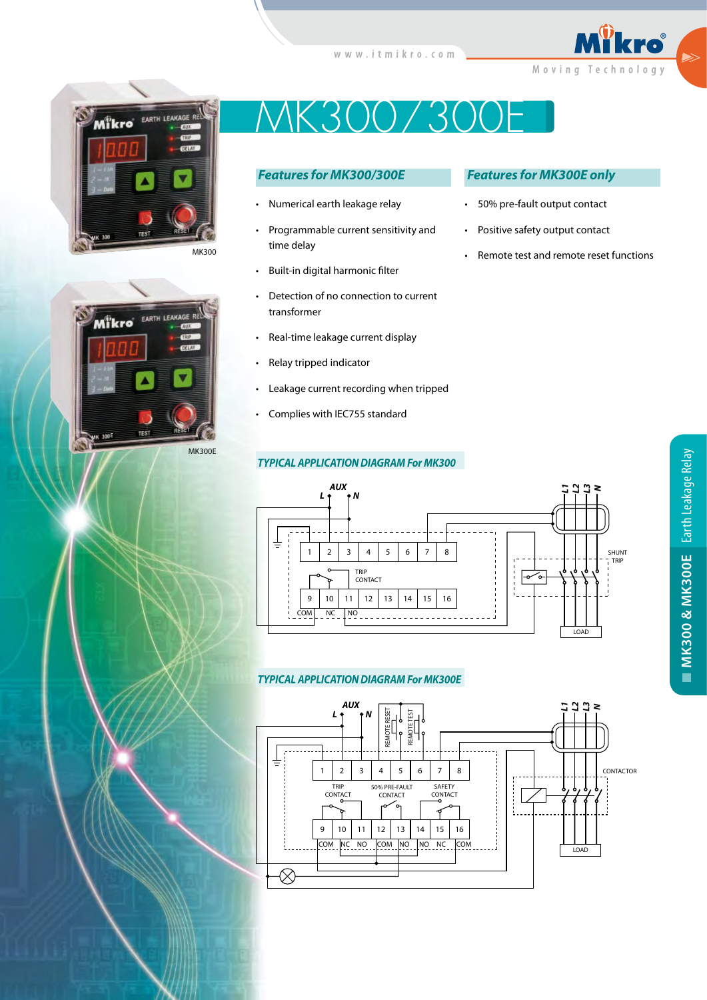





# K300/300E

# *Features for MK300/300E*

- Numerical earth leakage relay
- Programmable current sensitivity and time delay
- Built-in digital harmonic filter
- Detection of no connection to current transformer
- Real-time leakage current display
- Relay tripped indicator
- Leakage current recording when tripped
- Complies with IEC755 standard

# *TYPICAL APPLICATION DIAGRAM For MK300*

### *Features for MK300E only*

- 50% pre-fault output contact
- Positive safety output contact
- Remote test and remote reset functions



#### *TYPICAL APPLICATION DIAGRAM For MK300E*